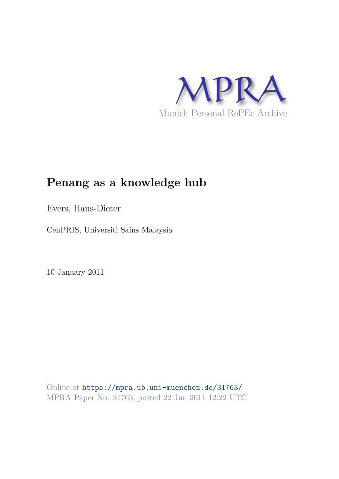

# **Penang as a knowledge hub**

Evers, Hans-Dieter

CenPRIS, Universiti Sains Malaysia

10 January 2011

Online at https://mpra.ub.uni-muenchen.de/31763/ MPRA Paper No. 31763, posted 22 Jun 2011 12:22 UTC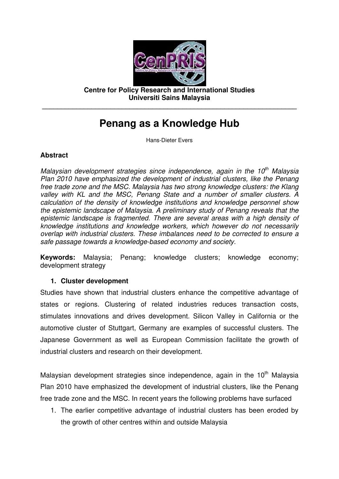

**Centre for Policy Research and International Studies Universiti Sains Malaysia** 

**\_\_\_\_\_\_\_\_\_\_\_\_\_\_\_\_\_\_\_\_\_\_\_\_\_\_\_\_\_\_\_\_\_\_\_\_\_\_\_\_\_\_\_\_\_\_\_\_\_\_\_\_\_\_\_\_\_\_\_\_\_\_\_\_\_\_\_** 

## **Penang as a Knowledge Hub**

Hans-Dieter Evers

#### **Abstract**

*Malaysian development strategies since independence, again in the 10th Malaysia Plan 2010 have emphasized the development of industrial clusters, like the Penang free trade zone and the MSC. Malaysia has two strong knowledge clusters: the Klang valley with KL and the MSC, Penang State and a number of smaller clusters. A calculation of the density of knowledge institutions and knowledge personnel show the epistemic landscape of Malaysia. A preliminary study of Penang reveals that the epistemic landscape is fragmented. There are several areas with a high density of knowledge institutions and knowledge workers, which however do not necessarily overlap with industrial clusters. These imbalances need to be corrected to ensure a safe passage towards a knowledge-based economy and society.* 

**Keywords:** Malaysia; Penang; knowledge clusters; knowledge economy; development strategy

#### **1. Cluster development**

Studies have shown that industrial clusters enhance the competitive advantage of states or regions. Clustering of related industries reduces transaction costs, stimulates innovations and drives development. Silicon Valley in California or the automotive cluster of Stuttgart, Germany are examples of successful clusters. The Japanese Government as well as European Commission facilitate the growth of industrial clusters and research on their development.

Malaysian development strategies since independence, again in the 10<sup>th</sup> Malavsia Plan 2010 have emphasized the development of industrial clusters, like the Penang free trade zone and the MSC. In recent years the following problems have surfaced

1. The earlier competitive advantage of industrial clusters has been eroded by the growth of other centres within and outside Malaysia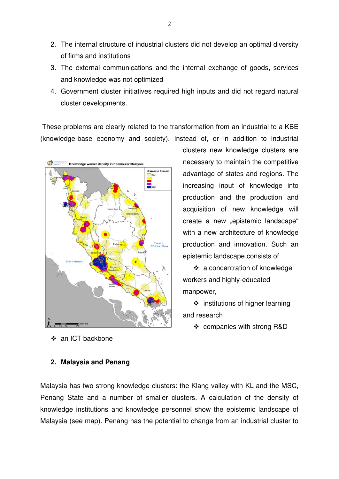- 2. The internal structure of industrial clusters did not develop an optimal diversity of firms and institutions
- 3. The external communications and the internal exchange of goods, services and knowledge was not optimized
- 4. Government cluster initiatives required high inputs and did not regard natural cluster developments.

 These problems are clearly related to the transformation from an industrial to a KBE (knowledge-base economy and society). Instead of, or in addition to industrial



❖ an ICT backbone

clusters new knowledge clusters are necessary to maintain the competitive advantage of states and regions. The increasing input of knowledge into production and the production and acquisition of new knowledge will create a new "epistemic landscape" with a new architecture of knowledge production and innovation. Such an epistemic landscape consists of

 a concentration of knowledge workers and highly-educated manpower,

 $\div$  institutions of higher learning and research

companies with strong R&D

#### **2. Malaysia and Penang**

Malaysia has two strong knowledge clusters: the Klang valley with KL and the MSC, Penang State and a number of smaller clusters. A calculation of the density of knowledge institutions and knowledge personnel show the epistemic landscape of Malaysia (see map). Penang has the potential to change from an industrial cluster to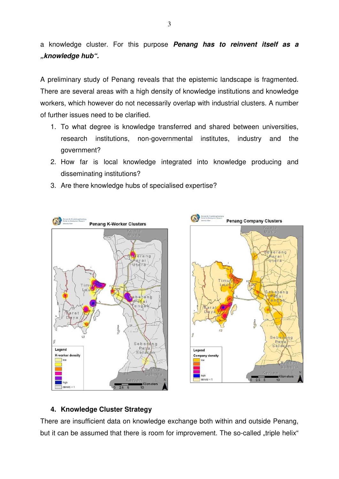a knowledge cluster. For this purpose **Penang has to reinvent itself as a "knowledge hub".** 

A preliminary study of Penang reveals that the epistemic landscape is fragmented. There are several areas with a high density of knowledge institutions and knowledge workers, which however do not necessarily overlap with industrial clusters. A number of further issues need to be clarified.

- 1. To what degree is knowledge transferred and shared between universities, research institutions, non-governmental institutes, industry and the government?
- 2. How far is local knowledge integrated into knowledge producing and disseminating institutions?
- 3. Are there knowledge hubs of specialised expertise?



### **4. Knowledge Cluster Strategy**

There are insufficient data on knowledge exchange both within and outside Penang, but it can be assumed that there is room for improvement. The so-called "triple helix"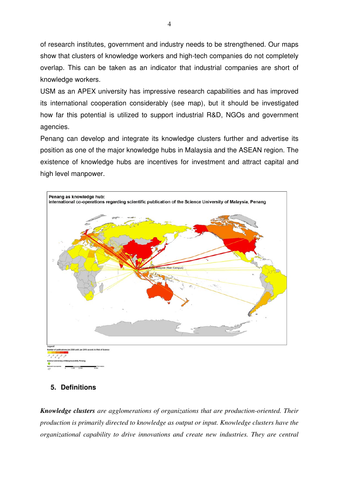of research institutes, government and industry needs to be strengthened. Our maps show that clusters of knowledge workers and high-tech companies do not completely overlap. This can be taken as an indicator that industrial companies are short of knowledge workers.

USM as an APEX university has impressive research capabilities and has improved its international cooperation considerably (see map), but it should be investigated how far this potential is utilized to support industrial R&D, NGOs and government agencies.

Penang can develop and integrate its knowledge clusters further and advertise its position as one of the major knowledge hubs in Malaysia and the ASEAN region. The existence of knowledge hubs are incentives for investment and attract capital and high level manpower.



### **5. Definitions**

*Knowledge clusters are agglomerations of organizations that are production-oriented. Their production is primarily directed to knowledge as output or input. Knowledge clusters have the organizational capability to drive innovations and create new industries. They are central*